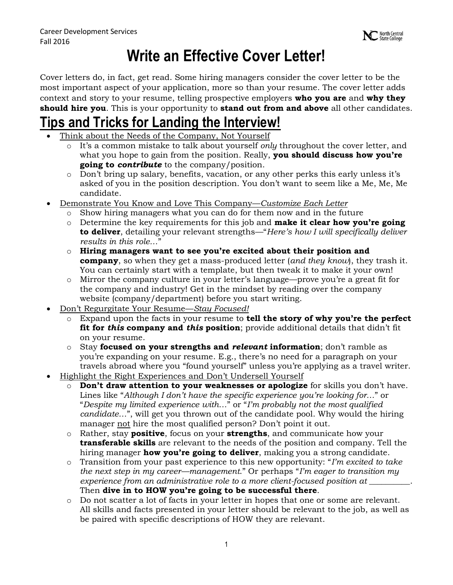# **Write an Effective Cover Letter!**

Cover letters do, in fact, get read. Some hiring managers consider the cover letter to be the most important aspect of your application, more so than your resume. The cover letter adds context and story to your resume, telling prospective employers **who you are** and **why they should hire you**. This is your opportunity to **stand out from and above** all other candidates.

### **Tips and Tricks for Landing the Interview!**

- Think about the Needs of the Company, Not Yourself
	- o It's a common mistake to talk about yourself *only* throughout the cover letter, and what you hope to gain from the position. Really, **you should discuss how you're going to** *contribute* to the company/position.
	- o Don't bring up salary, benefits, vacation, or any other perks this early unless it's asked of you in the position description. You don't want to seem like a Me, Me, Me candidate.
- Demonstrate You Know and Love This Company—*Customize Each Letter*
	- o Show hiring managers what you can do for them now and in the future
	- o Determine the key requirements for this job and **make it clear how you're going to deliver**, detailing your relevant strengths—"*Here's how I will specifically deliver results in this role…*"
	- o **Hiring managers want to see you're excited about their position and company**, so when they get a mass-produced letter (*and they know*), they trash it. You can certainly start with a template, but then tweak it to make it your own!
	- o Mirror the company culture in your letter's language—prove you're a great fit for the company and industry! Get in the mindset by reading over the company website (company/department) before you start writing.
- Don't Regurgitate Your Resume—*Stay Focused!*
	- o Expand upon the facts in your resume to **tell the story of why you're the perfect fit for** *this* **company and** *this* **position**; provide additional details that didn't fit on your resume.
	- o Stay **focused on your strengths and** *relevant* **information**; don't ramble as you're expanding on your resume. E.g., there's no need for a paragraph on your travels abroad where you "found yourself" unless you're applying as a travel writer.
- Highlight the Right Experiences and Don't Undersell Yourself
	- o **Don't draw attention to your weaknesses or apologize** for skills you don't have. Lines like "*Although I don't have the specific experience you're looking for…*" or "*Despite my limited experience with…*" or "*I'm probably not the most qualified candidate…*", will get you thrown out of the candidate pool. Why would the hiring manager not hire the most qualified person? Don't point it out.
	- o Rather, stay **positive**, focus on your **strengths**, and communicate how your **transferable skills** are relevant to the needs of the position and company. Tell the hiring manager **how you're going to deliver**, making you a strong candidate.
	- o Transition from your past experience to this new opportunity: "*I'm excited to take the next step in my career—management*." Or perhaps "*I'm eager to transition my experience from an administrative role to a more client-focused position at \_\_\_\_\_\_\_\_\_\_*. Then **dive in to HOW you're going to be successful there**.
	- o Do not scatter a lot of facts in your letter in hopes that one or some are relevant. All skills and facts presented in your letter should be relevant to the job, as well as be paired with specific descriptions of HOW they are relevant.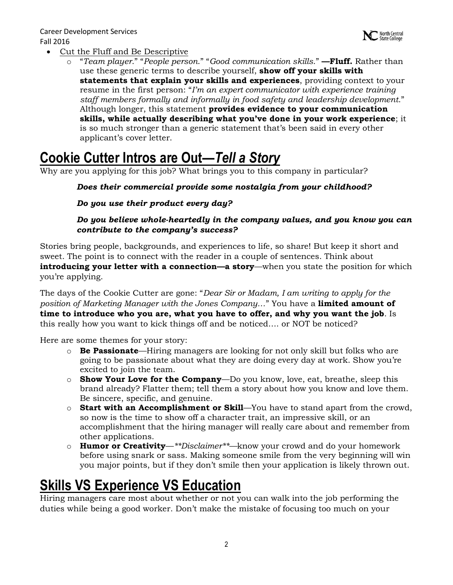- Cut the Fluff and Be Descriptive
	- o "*Team player*." "*People person*." "*Good communication skills*." **—Fluff.** Rather than use these generic terms to describe yourself, **show off your skills with statements that explain your skills and experiences**, providing context to your resume in the first person: "*I'm an expert communicator with experience training staff members formally and informally in food safety and leadership development*." Although longer, this statement **provides evidence to your communication skills, while actually describing what you've done in your work experience**; it is so much stronger than a generic statement that's been said in every other applicant's cover letter.

## **Cookie Cutter Intros are Out—***Tell a Story*

Why are you applying for this job? What brings you to this company in particular?

#### *Does their commercial provide some nostalgia from your childhood?*

*Do you use their product every day?*

#### *Do you believe whole-heartedly in the company values, and you know you can contribute to the company's success?*

Stories bring people, backgrounds, and experiences to life, so share! But keep it short and sweet. The point is to connect with the reader in a couple of sentences. Think about **introducing your letter with a connection—a story—when you state the position for which** you're applying.

The days of the Cookie Cutter are gone: "*Dear Sir or Madam, I am writing to apply for the position of Marketing Manager with the Jones Company…*" You have a **limited amount of time to introduce who you are, what you have to offer, and why you want the job**. Is this really how you want to kick things off and be noticed…. or NOT be noticed?

Here are some themes for your story:

- o **Be Passionate**—Hiring managers are looking for not only skill but folks who are going to be passionate about what they are doing every day at work. Show you're excited to join the team.
- o **Show Your Love for the Company**—Do you know, love, eat, breathe, sleep this brand already? Flatter them; tell them a story about how you know and love them. Be sincere, specific, and genuine.
- o **Start with an Accomplishment or Skill**—You have to stand apart from the crowd, so now is the time to show off a character trait, an impressive skill, or an accomplishment that the hiring manager will really care about and remember from other applications.
- o **Humor or Creativity**—*\*\*Disclaimer\*\*—*know your crowd and do your homework before using snark or sass. Making someone smile from the very beginning will win you major points, but if they don't smile then your application is likely thrown out.

# **Skills VS Experience VS Education**

Hiring managers care most about whether or not you can walk into the job performing the duties while being a good worker. Don't make the mistake of focusing too much on your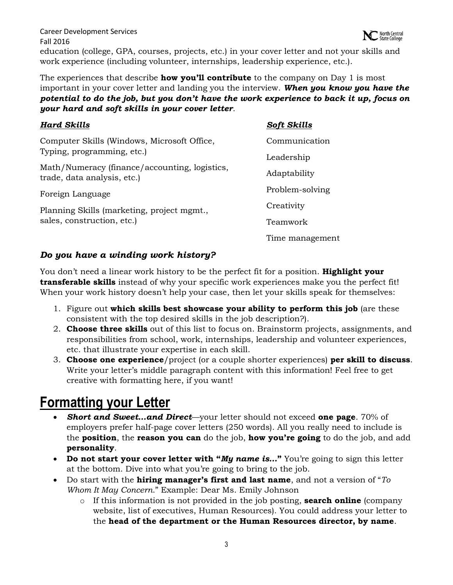Career Development Services North Central Fall 2016 education (college, GPA, courses, projects, etc.) in your cover letter and not your skills and work experience (including volunteer, internships, leadership experience, etc.).

The experiences that describe **how you'll contribute** to the company on Day 1 is most important in your cover letter and landing you the interview. *When you know you have the potential to do the job, but you don't have the work experience to back it up, focus on your hard and soft skills in your cover letter*.

| <b>Hard Skills</b>                                                           | <b>Soft Skills</b> |
|------------------------------------------------------------------------------|--------------------|
| Computer Skills (Windows, Microsoft Office,<br>Typing, programming, etc.)    | Communication      |
|                                                                              | Leadership         |
| Math/Numeracy (finance/accounting, logistics,<br>trade, data analysis, etc.) | Adaptability       |
| Foreign Language                                                             | Problem-solving    |
| Planning Skills (marketing, project mgmt.,<br>sales, construction, etc.)     | Creativity         |
|                                                                              | Teamwork           |
|                                                                              | Time management    |

#### *Do you have a winding work history?*

You don't need a linear work history to be the perfect fit for a position. **Highlight your transferable skills** instead of why your specific work experiences make you the perfect fit! When your work history doesn't help your case, then let your skills speak for themselves:

- 1. Figure out **which skills best showcase your ability to perform this job** (are these consistent with the top desired skills in the job description?).
- 2. **Choose three skills** out of this list to focus on. Brainstorm projects, assignments, and responsibilities from school, work, internships, leadership and volunteer experiences, etc. that illustrate your expertise in each skill.
- 3. **Choose one experience**/project (or a couple shorter experiences) **per skill to discuss**. Write your letter's middle paragraph content with this information! Feel free to get creative with formatting here, if you want!

## **Formatting your Letter**

- *Short and Sweet…and Direct*—your letter should not exceed **one page**. 70% of employers prefer half-page cover letters (250 words). All you really need to include is the **position**, the **reason you can** do the job, **how you're going** to do the job, and add **personality**.
- **Do not start your cover letter with "***My name is…***"** You're going to sign this letter at the bottom. Dive into what you're going to bring to the job.
- Do start with the **hiring manager's first and last name**, and not a version of "*To Whom It May Concern*." Example: Dear Ms. Emily Johnson
	- o If this information is not provided in the job posting, **search online** (company website, list of executives, Human Resources). You could address your letter to the **head of the department or the Human Resources director, by name**.